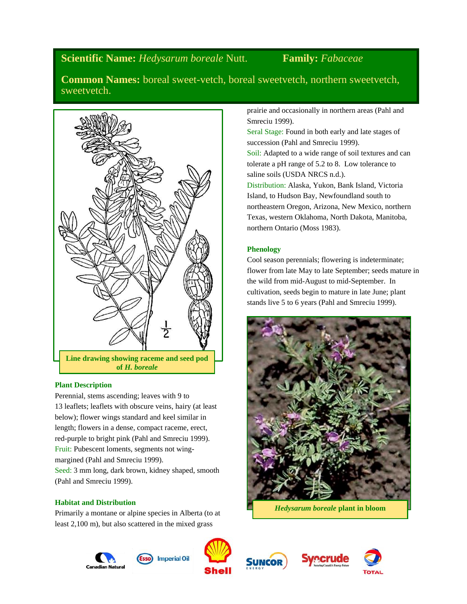# **Scientific Name:** *Hedysarum boreale* Nutt. **Family:** *Fabaceae*

**Common Names:** boreal sweet-vetch, boreal sweetvetch, northern sweetvetch, sweetvetch.



# **Plant Description**

Perennial, stems ascending; leaves with 9 to 13 leaflets; leaflets with obscure veins, hairy (at least below); flower wings standard and keel similar in length; flowers in a dense, compact raceme, erect, red-purple to bright pink (Pahl and Smreciu 1999). Fruit: Pubescent loments, segments not wingmargined (Pahl and Smreciu 1999).

Seed: 3 mm long, dark brown, kidney shaped, smooth (Pahl and Smreciu 1999).

# **Habitat and Distribution**

Primarily a montane or alpine species in Alberta (to at least 2,100 m), but also scattered in the mixed grass

prairie and occasionally in northern areas (Pahl and Smreciu 1999).

Seral Stage: Found in both early and late stages of succession (Pahl and Smreciu 1999). Soil: Adapted to a wide range of soil textures and can tolerate a pH range of 5.2 to 8. Low tolerance to saline soils (USDA NRCS n.d.). Distribution: Alaska, Yukon, Bank Island, Victoria

Island, to Hudson Bay, Newfoundland south to northeastern Oregon, Arizona, New Mexico, northern Texas, western Oklahoma, North Dakota, Manitoba, northern Ontario (Moss 1983).

# **Phenology**

Cool season perennials; flowering is indeterminate; flower from late May to late September; seeds mature in the wild from mid-August to mid-September. In cultivation, seeds begin to mature in late June; plant stands live 5 to 6 years (Pahl and Smreciu 1999).





**Imperial Oil** 





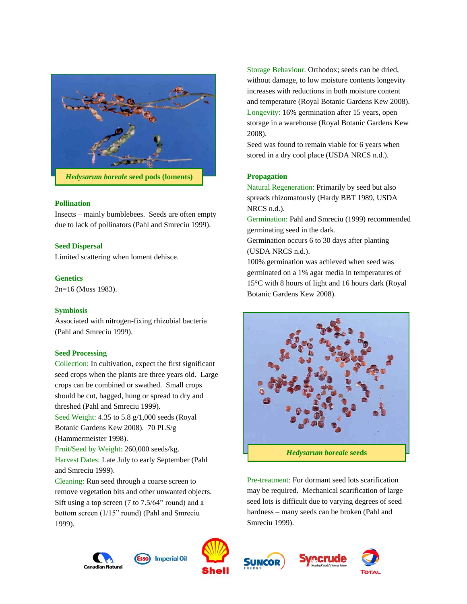

### **Pollination**

Insects – mainly bumblebees. Seeds are often empty due to lack of pollinators (Pahl and Smreciu 1999).

#### **Seed Dispersal**

Limited scattering when loment dehisce.

#### **Genetics**

2n=16 (Moss 1983).

#### **Symbiosis**

Associated with nitrogen-fixing rhizobial bacteria (Pahl and Smreciu 1999).

#### **Seed Processing**

Collection: In cultivation, expect the first significant seed crops when the plants are three years old. Large crops can be combined or swathed. Small crops should be cut, bagged, hung or spread to dry and threshed (Pahl and Smreciu 1999). Seed Weight: 4.35 to 5.8 g/1,000 seeds (Royal

Botanic Gardens Kew 2008). 70 PLS/g (Hammermeister 1998).

Fruit/Seed by Weight: 260,000 seeds/kg. Harvest Dates: Late July to early September (Pahl and Smreciu 1999).

Cleaning: Run seed through a coarse screen to remove vegetation bits and other unwanted objects. Sift using a top screen (7 to 7.5/64" round) and a bottom screen (1/15" round) (Pahl and Smreciu 1999).

Esso

Storage Behaviour: Orthodox; seeds can be dried, without damage, to low moisture contents longevity increases with reductions in both moisture content and temperature (Royal Botanic Gardens Kew 2008). Longevity: 16% germination after 15 years, open storage in a warehouse (Royal Botanic Gardens Kew 2008).

Seed was found to remain viable for 6 years when stored in a dry cool place (USDA NRCS n.d.).

#### **Propagation**

Natural Regeneration: Primarily by seed but also spreads rhizomatously (Hardy BBT 1989, USDA NRCS n.d.).

Germination: Pahl and Smreciu (1999) recommended germinating seed in the dark.

Germination occurs 6 to 30 days after planting (USDA NRCS n.d.).

100% germination was achieved when seed was germinated on a 1% agar media in temperatures of 15°C with 8 hours of light and 16 hours dark (Royal Botanic Gardens Kew 2008).



Pre-treatment: For dormant seed lots scarification may be required. Mechanical scarification of large seed lots is difficult due to varying degrees of seed hardness – many seeds can be broken (Pahl and Smreciu 1999).







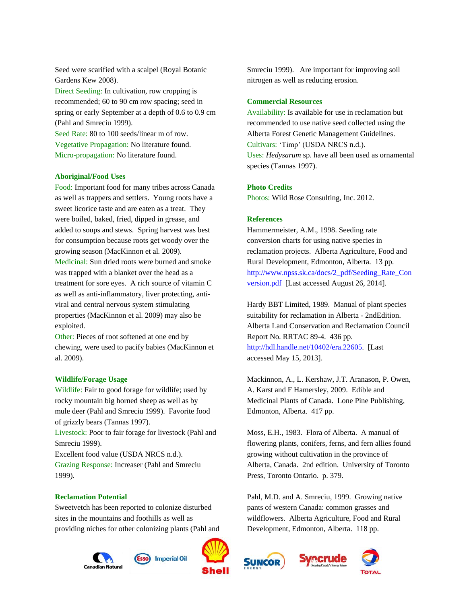Seed were scarified with a scalpel (Royal Botanic Gardens Kew 2008).

Direct Seeding: In cultivation, row cropping is recommended; 60 to 90 cm row spacing; seed in spring or early September at a depth of 0.6 to 0.9 cm (Pahl and Smreciu 1999).

Seed Rate: 80 to 100 seeds/linear m of row. Vegetative Propagation: No literature found. Micro-propagation: No literature found.

#### **Aboriginal/Food Uses**

Food: Important food for many tribes across Canada as well as trappers and settlers. Young roots have a sweet licorice taste and are eaten as a treat. They were boiled, baked, fried, dipped in grease, and added to soups and stews. Spring harvest was best for consumption because roots get woody over the growing season (MacKinnon et al*.* 2009). Medicinal: Sun dried roots were burned and smoke was trapped with a blanket over the head as a treatment for sore eyes. A rich source of vitamin C as well as anti-inflammatory, liver protecting, antiviral and central nervous system stimulating properties (MacKinnon et al. 2009) may also be exploited.

Other: Pieces of root softened at one end by chewing, were used to pacify babies (MacKinnon et al. 2009).

#### **Wildlife/Forage Usage**

Wildlife: Fair to good forage for wildlife; used by rocky mountain big horned sheep as well as by mule deer (Pahl and Smreciu 1999). Favorite food of grizzly bears (Tannas 1997).

Livestock: Poor to fair forage for livestock (Pahl and Smreciu 1999).

Excellent food value (USDA NRCS n.d.). Grazing Response: Increaser (Pahl and Smreciu 1999).

#### **Reclamation Potential**

Sweetvetch has been reported to colonize disturbed sites in the mountains and foothills as well as providing niches for other colonizing plants (Pahl and





Smreciu 1999). Are important for improving soil nitrogen as well as reducing erosion.

#### **Commercial Resources**

Availability: Is available for use in reclamation but recommended to use native seed collected using the Alberta Forest Genetic Management Guidelines. Cultivars: 'Timp' (USDA NRCS n.d.). Uses: *Hedysarum* sp. have all been used as ornamental species (Tannas 1997).

### **Photo Credits**

Photos: Wild Rose Consulting, Inc. 2012.

#### **References**

Hammermeister, A.M., 1998. Seeding rate conversion charts for using native species in reclamation projects. Alberta Agriculture, Food and Rural Development, Edmonton, Alberta. 13 pp. [http://www.npss.sk.ca/docs/2\\_pdf/Seeding\\_Rate\\_Con](http://www.npss.sk.ca/docs/2_pdf/Seeding_Rate_Conversion.pdf) [version.pdf](http://www.npss.sk.ca/docs/2_pdf/Seeding_Rate_Conversion.pdf) [Last accessed August 26, 2014].

Hardy BBT Limited, 1989. Manual of plant species suitability for reclamation in Alberta - 2ndEdition. Alberta Land Conservation and Reclamation Council Report No. RRTAC 89-4. 436 pp. [http://hdl.handle.net/10402/era.22605.](http://hdl.handle.net/10402/era.22605) [Last accessed May 15, 2013].

Mackinnon, A., L. Kershaw, J.T. Aranason, P. Owen, A. Karst and F Hamersley, 2009. Edible and Medicinal Plants of Canada. Lone Pine Publishing, Edmonton, Alberta. 417 pp.

Moss, E.H., 1983. Flora of Alberta. A manual of flowering plants, conifers, ferns, and fern allies found growing without cultivation in the province of Alberta, Canada. 2nd edition. University of Toronto Press, Toronto Ontario. p. 379.

Pahl, M.D. and A. Smreciu, 1999. Growing native pants of western Canada: common grasses and wildflowers. Alberta Agriculture, Food and Rural Development, Edmonton, Alberta. 118 pp.